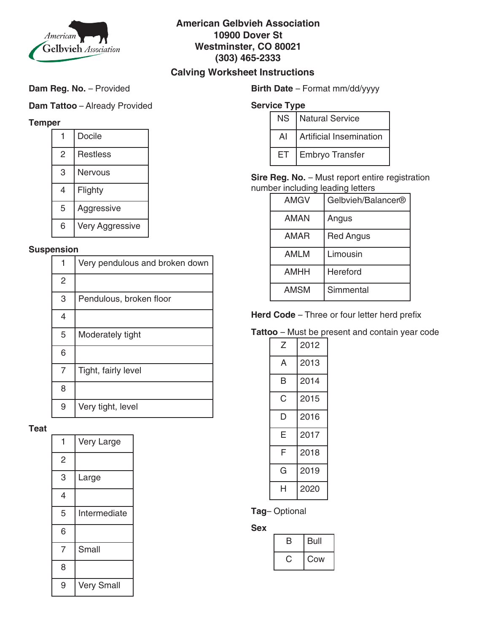

# **Calving Worksheet Instructions American Gelbvieh Association 10900 Dover St Westminster, CO 80021 (303) 465-2333**

#### **Dam Reg. No. - Provided**

### **Dam Tattoo** – Already Provided

#### **Temper**

|   | Docile          |
|---|-----------------|
| 2 | Restless        |
| З | Nervous         |
| 4 | Flighty         |
| 5 | Aggressive      |
| 6 | Very Aggressive |

#### **Suspension**

| 1 | Very pendulous and broken down |
|---|--------------------------------|
| 2 |                                |
| 3 | Pendulous, broken floor        |
| 4 |                                |
| 5 | Moderately tight               |
| 6 |                                |
| 7 | Tight, fairly level            |
| 8 |                                |
| 9 | Very tight, level              |

#### **Teat**

|   | <b>Very Large</b> |
|---|-------------------|
| 2 |                   |
| 3 | Large             |
| 4 |                   |
| 5 | Intermediate      |
| 6 |                   |
| 7 | Small             |
| 8 |                   |
| 9 | <b>Very Small</b> |

#### **Birth Date** – Format mm/dd/yyyy

## **Service Type**

|     | NS   Natural Service    |
|-----|-------------------------|
| Al  | Artificial Insemination |
| ET. | <b>Embryo Transfer</b>  |

#### **Sire Reg. No.** – Must report entire registration number including leading letters

| AMGV        | Gelbvieh/Balancer® |
|-------------|--------------------|
| AMAN        | Angus              |
| AMAR        | <b>Red Angus</b>   |
| <b>AMLM</b> | Limousin           |
| AMHH        | Hereford           |
| AMSM        | Simmental          |

### **Herd Code** – Three or four letter herd prefix

**Tattoo** – Must be present and contain year code

| Z | 2012 |
|---|------|
| А | 2013 |
| B | 2014 |
| С | 2015 |
| D | 2016 |
| E | 2017 |
| F | 2018 |
| G | 2019 |
| н | 2020 |

#### **Tag**– Optional

# **Sex**

| в | Bull |
|---|------|
|   | Cow  |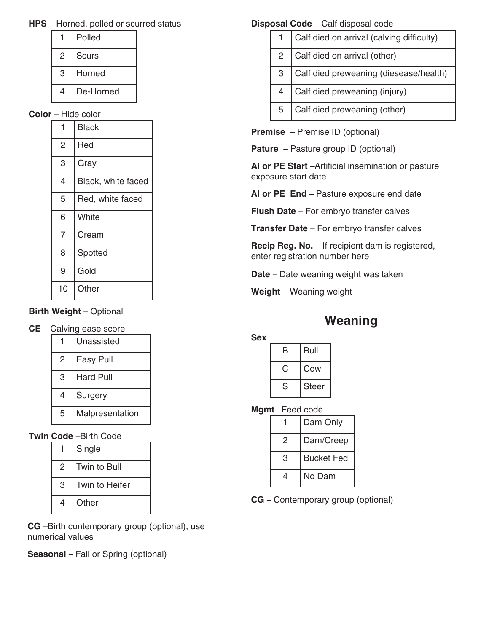## **HPS** – Horned, polled or scurred status

|   | Polled       |
|---|--------------|
| 2 | <b>Scurs</b> |
| 3 | Horned       |
| 4 | De-Horned    |

## **Color** – Hide color

| 1  | <b>Black</b>       |
|----|--------------------|
| 2  | Red                |
| 3  | Gray               |
| 4  | Black, white faced |
| 5  | Red, white faced   |
| 6  | White              |
| 7  | Cream              |
| 8  | Spotted            |
| 9  | Gold               |
| 10 | Other              |
|    |                    |

## **Birth Weight - Optional**

#### **CE** – Calving ease score

|   | Unassisted       |
|---|------------------|
| 2 | <b>Easy Pull</b> |
| З | <b>Hard Pull</b> |
| 4 | Surgery          |
| 5 | Malpresentation  |

## **Twin Code** –Birth Code

|               | Single         |
|---------------|----------------|
| $\mathcal{P}$ | Twin to Bull   |
| 3             | Twin to Heifer |
| 4             | Other          |

**CG** –Birth contemporary group (optional), use numerical values

**Seasonal** – Fall or Spring (optional)

# **Disposal Code** – Calf disposal code

|                | Calf died on arrival (calving difficulty) |
|----------------|-------------------------------------------|
| $\overline{2}$ | Calf died on arrival (other)              |
| 3              | Calf died preweaning (diesease/health)    |
| $\overline{4}$ | Calf died preweaning (injury)             |
| 5              | Calf died preweaning (other)              |

**Premise** – Premise ID (optional)

**Pature** – Pasture group ID (optional)

**AI or PE Start** –Artificial insemination or pasture exposure start date

**AI or PE End** – Pasture exposure end date

**Flush Date** – For embryo transfer calves

**Transfer Date** – For embryo transfer calves

**Recip Reg. No.** – If recipient dam is registered, enter registration number here

**Date** – Date weaning weight was taken

**Weight** – Weaning weight

# **Weaning**

# **Sex**

| R | Bull         |
|---|--------------|
|   | Cow          |
| S | <b>Steer</b> |

**Mgmt**– Feed code

|   | Dam Only          |
|---|-------------------|
| 2 | Dam/Creep         |
| 3 | <b>Bucket Fed</b> |
|   | No Dam            |

**CG** – Contemporary group (optional)